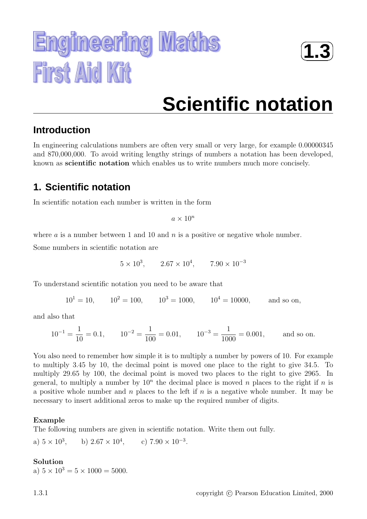



# **Scientific notation**

# **Introduction**

In engineering calculations numbers are often very small or very large, for example 0.00000345 and 870,000,000. To avoid writing lengthy strings of numbers a notation has been developed, known as **scientific notation** which enables us to write numbers much more concisely.

# **1. Scientific notation**

In scientific notation each number is written in the form

 $a \times 10^n$ 

where  $\alpha$  is a number between 1 and 10 and  $\eta$  is a positive or negative whole number.

Some numbers in scientific notation are

 $5 \times 10^3$ ,  $2.67 \times 10^4$ ,  $7.90 \times 10^{-3}$ 

To understand scientific notation you need to be aware that

 $10^1 = 10$ ,  $10^2 = 100$ ,  $10^3 = 1000$ ,  $10^4 = 10000$ , and so on,

and also that

$$
10^{-1} = \frac{1}{10} = 0.1
$$
,  $10^{-2} = \frac{1}{100} = 0.01$ ,  $10^{-3} = \frac{1}{1000} = 0.001$ , and so on.

You also need to remember how simple it is to multiply a number by powers of 10. For example to multiply 3.45 by 10, the decimal point is moved one place to the right to give 34.5. To multiply 29.65 by 100, the decimal point is moved two places to the right to give 2965. In general, to multiply a number by  $10^n$  the decimal place is moved n places to the right if n is a positive whole number and n places to the left if  $n$  is a negative whole number. It may be necessary to insert additional zeros to make up the required number of digits.

## **Example**

The following numbers are given in scientific notation. Write them out fully.

a)  $5 \times 10^3$ , b)  $2.67 \times 10^4$ , c)  $7.90 \times 10^{-3}$ .

## **Solution**

a)  $5 \times 10^3 = 5 \times 1000 = 5000$ .